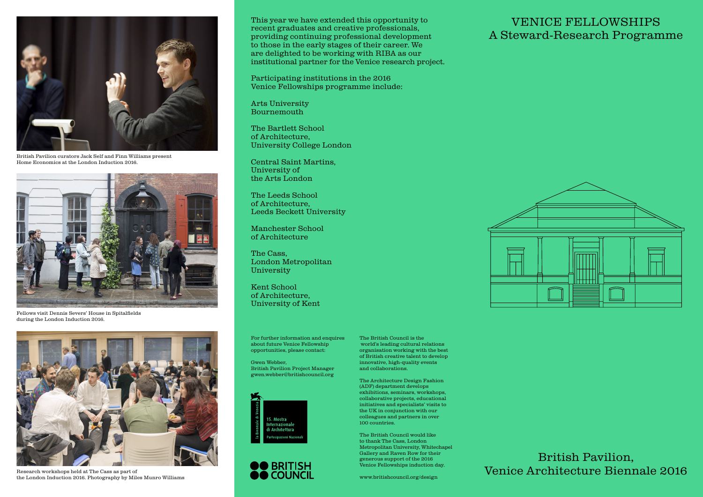

Home Economics at the London Induction 2016.



Fellows visit Dennis Severs' House in Spitalfields during the London Induction 2016.



Research workshops held at The Cass as part of the London Induction 2016. Photography by Miles Munro Williams

This year we have extended this opportunity to recent graduates and creative professionals, providing continuing professional development to those in the early stages of their career. We are delighted to be working with RIBA as our institutional partner for the Venice research project.

Participating institutions in the 2016 Venice Fellowships programme include:

Arts University Bournemouth

The Bartlett School of Architecture, University College London

Central Saint Martins, University of the Arts London

The Leeds School of Architecture, Leeds Beckett University

Manchester School of Architecture

The Cass, London Metropolitan University

Kent School of Architecture, University of Kent

For further information and enquires about future Venice Fellowship opportunities, please contact:

Gwen Webber, British Pavilion Project Manager gwen.webber@britishcouncil.org





The British Council is the world's leading cultural relations organisation working with the best of British creative talent to develop innovative, high-quality events and collaborations.

The Architecture Design Fashion (ADF) department develops exhibitions, seminars, workshops, collaborative projects, educational initiatives and specialists' visits to the UK in conjunction with our colleagues and partners in over 100 countries.

The British Council would like to thank The Cass, London Metropolitan University, Whitechapel Gallery and Raven Row for their generous support of the 2016 Venice Fellowships induction day.

www.britishcouncil.org/design

# VENICE FELLOWSHIPS A Steward-Research Programme



British Pavilion, Venice Architecture Biennale 2016